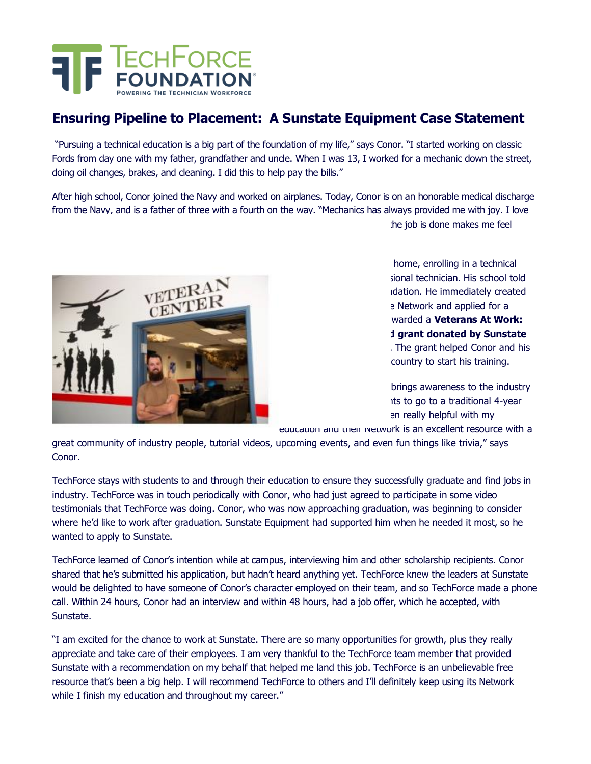

## **Ensuring Pipeline to Placement: A Sunstate Equipment Case Statement**

"Pursuing a technical education is a big part of the foundation of my life," says Conor. "I started working on classic Fords from day one with my father, grandfather and uncle. When I was 13, I worked for a mechanic down the street, doing oil changes, brakes, and cleaning. I did this to help pay the bills."

After high school, Conor joined the Navy and worked on airplanes. Today, Conor is on an honorable medical discharge from the Navy, and is a father of three with a fourth on the way. "Mechanics has always provided me with joy. I love the job is done makes me feel



home, enrolling in a technical sional technician. His school told hdation. He immediately created e Network and applied for a warded a **Veterans At Work: Military Transition Fund grant donated by Sunstate External Foundation** Foundation The grant helped Conor and his country to start his training.

brings awareness to the industry its to go to a traditional 4-year en really helpful with my

education and their Network is an excellent resource with a

great community of industry people, tutorial videos, upcoming events, and even fun things like trivia," says Conor.

TechForce stays with students to and through their education to ensure they successfully graduate and find jobs in industry. TechForce was in touch periodically with Conor, who had just agreed to participate in some video testimonials that TechForce was doing. Conor, who was now approaching graduation, was beginning to consider where he'd like to work after graduation. Sunstate Equipment had supported him when he needed it most, so he wanted to apply to Sunstate.

TechForce learned of Conor's intention while at campus, interviewing him and other scholarship recipients. Conor shared that he's submitted his application, but hadn't heard anything yet. TechForce knew the leaders at Sunstate would be delighted to have someone of Conor's character employed on their team, and so TechForce made a phone call. Within 24 hours, Conor had an interview and within 48 hours, had a job offer, which he accepted, with Sunstate.

"I am excited for the chance to work at Sunstate. There are so many opportunities for growth, plus they really appreciate and take care of their employees. I am very thankful to the TechForce team member that provided Sunstate with a recommendation on my behalf that helped me land this job. TechForce is an unbelievable free resource that's been a big help. I will recommend TechForce to others and I'll definitely keep using its Network while I finish my education and throughout my career."